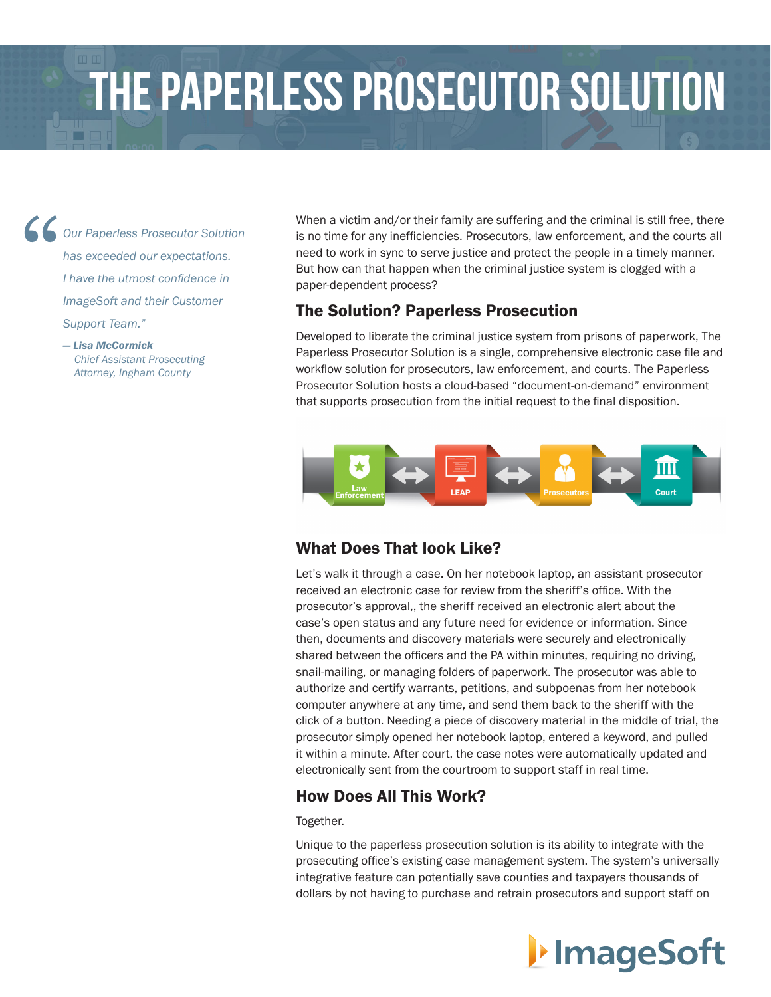# The Paperless Prosecutor Solution

*Our Paperless Prosecutor Solution has exceeded our expectations. I have the utmost confidence in ImageSoft and their Customer Support Team."*

#### *— Lisa McCormick Chief Assistant Prosecuting Attorney, Ingham County*

When a victim and/or their family are suffering and the criminal is still free, there is no time for any inefficiencies. Prosecutors, law enforcement, and the courts all need to work in sync to serve justice and protect the people in a timely manner. But how can that happen when the criminal justice system is clogged with a paper-dependent process?

#### The Solution? Paperless Prosecution

Developed to liberate the criminal justice system from prisons of paperwork, The Paperless Prosecutor Solution is a single, comprehensive electronic case file and workflow solution for prosecutors, law enforcement, and courts. The Paperless Prosecutor Solution hosts a cloud-based "document-on-demand" environment that supports prosecution from the initial request to the final disposition.



### What Does That look Like?

Let's walk it through a case. On her notebook laptop, an assistant prosecutor received an electronic case for review from the sheriff's office. With the prosecutor's approval,, the sheriff received an electronic alert about the case's open status and any future need for evidence or information. Since then, documents and discovery materials were securely and electronically shared between the officers and the PA within minutes, requiring no driving, snail-mailing, or managing folders of paperwork. The prosecutor was able to authorize and certify warrants, petitions, and subpoenas from her notebook computer anywhere at any time, and send them back to the sheriff with the click of a button. Needing a piece of discovery material in the middle of trial, the prosecutor simply opened her notebook laptop, entered a keyword, and pulled it within a minute. After court, the case notes were automatically updated and electronically sent from the courtroom to support staff in real time.

#### How Does All This Work?

#### Together.

Unique to the paperless prosecution solution is its ability to integrate with the prosecuting office's existing case management system. The system's universally integrative feature can potentially save counties and taxpayers thousands of dollars by not having to purchase and retrain prosecutors and support staff on